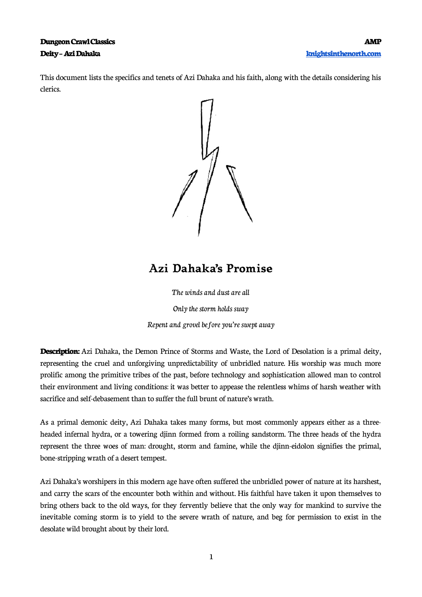### **Dungeon Crawl Classics AMP Deity – Azi Dahaka [knightsinthenorth.com](http://knightsinthenorth.com/)**

This document lists the specifics and tenets of Azi Dahaka and his faith, along with the details considering his clerics.



## **Azi Dahaka's Promise**

The winds and dust are all

Only the storm holds sway

Repent and grovel before you're swept away

**Description:** Azi Dahaka, the Demon Prince of Storms and Waste, the Lord of Desolation is a primal deity, representing the cruel and unforgiving unpredictability of unbridled nature. His worship was much more prolific among the primitive tribes of the past, before technology and sophistication allowed man to control their environment and living conditions: it was better to appease the relentless whims of harsh weather with sacrifice and self-debasement than to suffer the full brunt of nature's wrath.

As a primal demonic deity, Azi Dahaka takes many forms, but most commonly appears either as a threeheaded infernal hydra, or a towering djinn formed from a roiling sandstorm. The three heads of the hydra represent the three woes of man: drought, storm and famine, while the djinn-eidolon signifies the primal, bone-stripping wrath of a desert tempest.

Azi Dahaka's worshipers in this modern age have often suffered the unbridled power of nature at its harshest, and carry the scars of the encounter both within and without. His faithful have taken it upon themselves to bring others back to the old ways, for they fervently believe that the only way for mankind to survive the inevitable coming storm is to yield to the severe wrath of nature, and beg for permission to exist in the desolate wild brought about by their lord.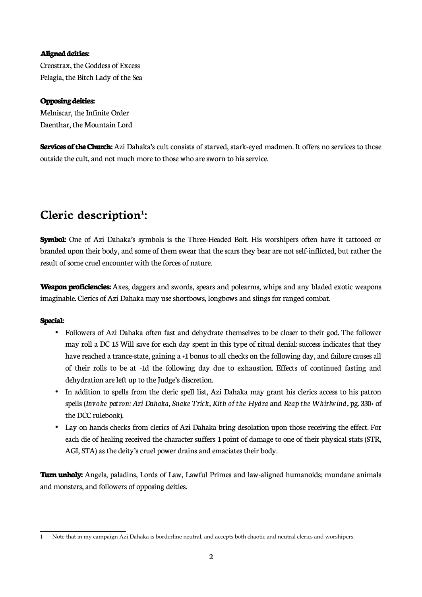#### **Aligned deities:**

Creostrax, the Goddess of Excess Pelagia, the Bitch Lady of the Sea

#### **Opposing deities:**

Melniscar, the Infinite Order Daenthar, the Mountain Lord

**Services of the Church:** Azi Dahaka's cult consists of starved, stark-eyed madmen. It offers no services to those outside the cult, and not much more to those who are sworn to his service.

# **Cleric description[1](#page-1-0) :**

 $\overline{a}$ 

**Symbol:** One of Azi Dahaka's symbols is the Three-Headed Bolt. His worshipers often have it tattooed or branded upon their body, and some of them swear that the scars they bear are not self-inflicted, but rather the result of some cruel encounter with the forces of nature.

**Weapon proficiencies:** Axes, daggers and swords, spears and polearms, whips and any bladed exotic weapons imaginable. Clerics of Azi Dahaka may use shortbows, longbows and slings for ranged combat.

#### **Special:**

- Followers of Azi Dahaka often fast and dehydrate themselves to be closer to their god. The follower may roll a DC 15 Will save for each day spent in this type of ritual denial: success indicates that they have reached a trance-state, gaining a +1 bonus to all checks on the following day, and failure causes all of their rolls to be at -1d the following day due to exhaustion. Effects of continued fasting and dehydration are left up to the Judge's discretion.
- In addition to spells from the cleric spell list, Azi Dahaka may grant his clerics access to his patron spells (*Invoke patron: Azi Dahaka, Snake Trick, Kith of the Hydra* and *Reap the Whirlwind,* pg. 330+ of the DCC rulebook).
- Lay on hands checks from clerics of Azi Dahaka bring desolation upon those receiving the effect. For each die of healing received the character suffers 1 point of damage to one of their physical stats (STR, AGI, STA) as the deity's cruel power drains and emaciates their body.

**Turn unholy:** Angels, paladins, Lords of Law, Lawful Primes and law-aligned humanoids; mundane animals and monsters, and followers of opposing deities.

<span id="page-1-0"></span>Note that in my campaign Azi Dahaka is borderline neutral, and accepts both chaotic and neutral clerics and worshipers.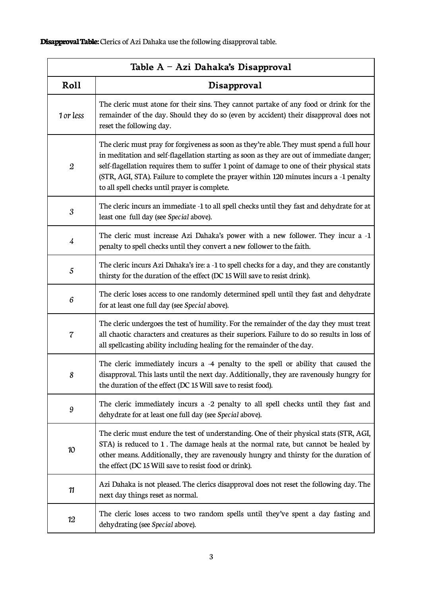**Disapproval Table:** Clerics of Azi Dahaka use the following disapproval table.

| Table A – Azi Dahaka's Disapproval |                                                                                                                                                                                                                                                                                                                                                                                                                                 |  |
|------------------------------------|---------------------------------------------------------------------------------------------------------------------------------------------------------------------------------------------------------------------------------------------------------------------------------------------------------------------------------------------------------------------------------------------------------------------------------|--|
| Roll                               | Disapproval                                                                                                                                                                                                                                                                                                                                                                                                                     |  |
| 1 or less                          | The cleric must atone for their sins. They cannot partake of any food or drink for the<br>remainder of the day. Should they do so (even by accident) their disapproval does not<br>reset the following day.                                                                                                                                                                                                                     |  |
| $\boldsymbol{2}$                   | The cleric must pray for forgiveness as soon as they're able. They must spend a full hour<br>in meditation and self-flagellation starting as soon as they are out of immediate danger;<br>self-flagellation requires them to suffer 1 point of damage to one of their physical stats<br>(STR, AGI, STA). Failure to complete the prayer within 120 minutes incurs a -1 penalty<br>to all spell checks until prayer is complete. |  |
| 3                                  | The cleric incurs an immediate -1 to all spell checks until they fast and dehydrate for at<br>least one full day (see Special above).                                                                                                                                                                                                                                                                                           |  |
| 4                                  | The cleric must increase Azi Dahaka's power with a new follower. They incur a -1<br>penalty to spell checks until they convert a new follower to the faith.                                                                                                                                                                                                                                                                     |  |
| 5                                  | The cleric incurs Azi Dahaka's ire: a -1 to spell checks for a day, and they are constantly<br>thirsty for the duration of the effect (DC 15 Will save to resist drink).                                                                                                                                                                                                                                                        |  |
| 6                                  | The cleric loses access to one randomly determined spell until they fast and dehydrate<br>for at least one full day (see Special above).                                                                                                                                                                                                                                                                                        |  |
| 7                                  | The cleric undergoes the test of humility. For the remainder of the day they must treat<br>all chaotic characters and creatures as their superiors. Failure to do so results in loss of<br>all spellcasting ability including healing for the remainder of the day.                                                                                                                                                             |  |
| 8                                  | The cleric immediately incurs a -4 penalty to the spell or ability that caused the<br>disapproval. This lasts until the next day. Additionally, they are ravenously hungry for<br>the duration of the effect (DC 15 Will save to resist food).                                                                                                                                                                                  |  |
| 9                                  | The cleric immediately incurs a -2 penalty to all spell checks until they fast and<br>dehydrate for at least one full day (see Special above).                                                                                                                                                                                                                                                                                  |  |
| 10                                 | The cleric must endure the test of understanding. One of their physical stats (STR, AGI,<br>STA) is reduced to 1. The damage heals at the normal rate, but cannot be healed by<br>other means. Additionally, they are ravenously hungry and thirsty for the duration of<br>the effect (DC 15 Will save to resist food or drink).                                                                                                |  |
| 11                                 | Azi Dahaka is not pleased. The clerics disapproval does not reset the following day. The<br>next day things reset as normal.                                                                                                                                                                                                                                                                                                    |  |
| 12                                 | The cleric loses access to two random spells until they've spent a day fasting and<br>dehydrating (see Special above).                                                                                                                                                                                                                                                                                                          |  |